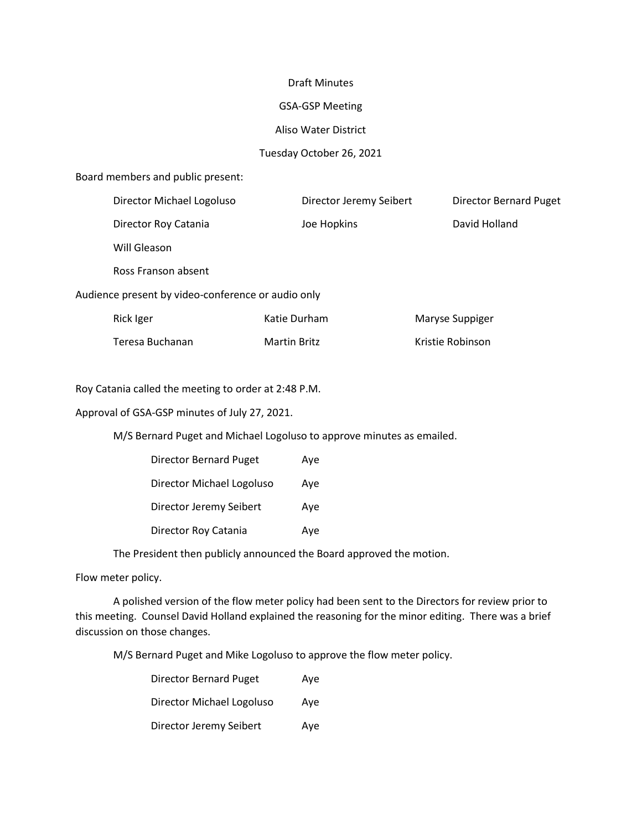#### Draft Minutes

#### GSA-GSP Meeting

### Aliso Water District

## Tuesday October 26, 2021

#### Board members and public present:

|                                                    | Director Michael Logoluso | Director Jeremy Seibert |  | <b>Director Bernard Puget</b> |  |  |
|----------------------------------------------------|---------------------------|-------------------------|--|-------------------------------|--|--|
|                                                    | Director Roy Catania      | Joe Hopkins             |  | David Holland                 |  |  |
|                                                    | Will Gleason              |                         |  |                               |  |  |
|                                                    | Ross Franson absent       |                         |  |                               |  |  |
| Audience present by video-conference or audio only |                           |                         |  |                               |  |  |
|                                                    | Rick Iger                 | Katie Durham            |  | Maryse Suppiger               |  |  |
|                                                    | Teresa Buchanan           | <b>Martin Britz</b>     |  | Kristie Robinson              |  |  |
|                                                    |                           |                         |  |                               |  |  |

Roy Catania called the meeting to order at 2:48 P.M.

Approval of GSA-GSP minutes of July 27, 2021.

M/S Bernard Puget and Michael Logoluso to approve minutes as emailed.

| <b>Director Bernard Puget</b> | Aye |
|-------------------------------|-----|
| Director Michael Logoluso     | Ave |
| Director Jeremy Seibert       | Ave |
| Director Roy Catania          | Ave |

The President then publicly announced the Board approved the motion.

Flow meter policy.

 A polished version of the flow meter policy had been sent to the Directors for review prior to this meeting. Counsel David Holland explained the reasoning for the minor editing. There was a brief discussion on those changes.

M/S Bernard Puget and Mike Logoluso to approve the flow meter policy.

| <b>Director Bernard Puget</b> | Ave |
|-------------------------------|-----|
| Director Michael Logoluso     | Ave |
| Director Jeremy Seibert       | Ave |